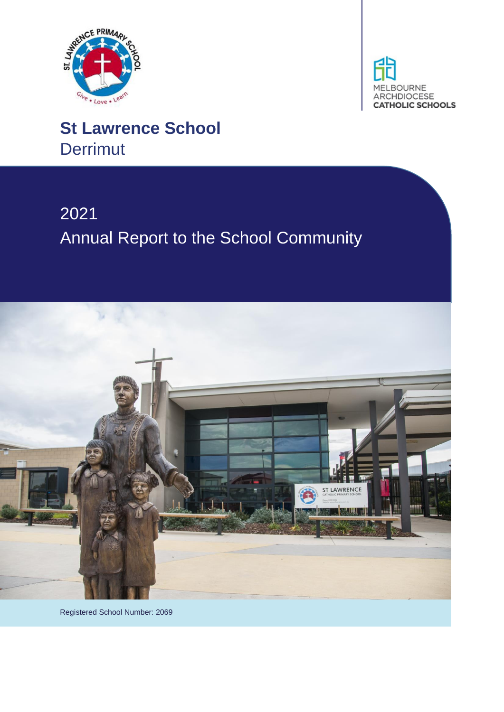



# **St Lawrence School Derrimut**

# 2021 Annual Report to the School Community



Registered School Number: 2069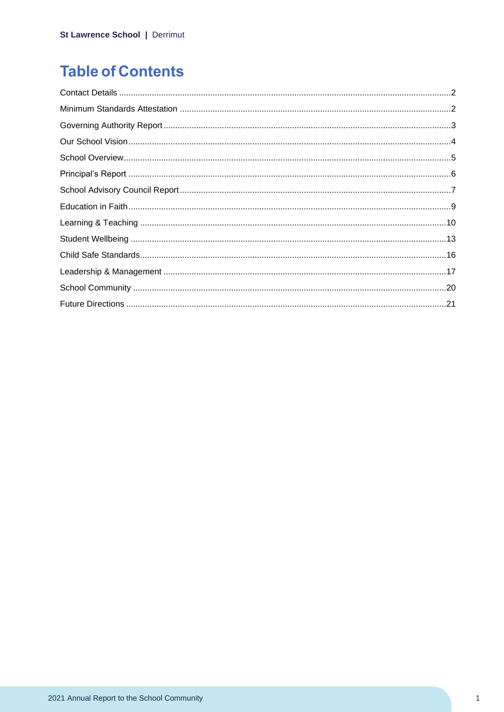# **Table of Contents**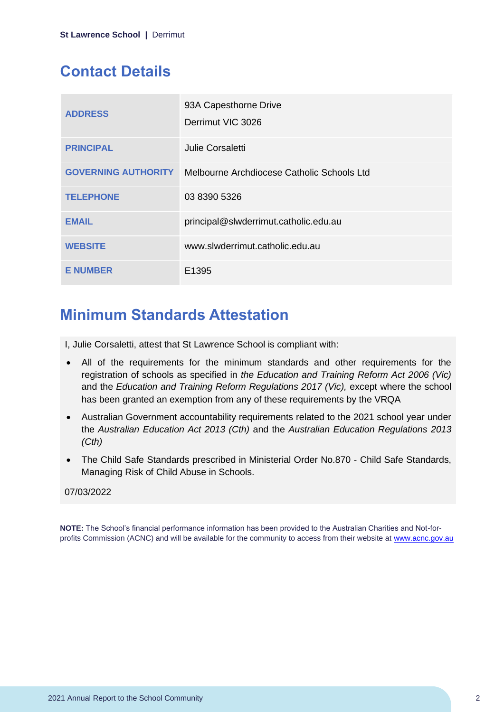# <span id="page-2-0"></span>**Contact Details**

| <b>ADDRESS</b>             | 93A Capesthorne Drive<br>Derrimut VIC 3026 |
|----------------------------|--------------------------------------------|
| <b>PRINCIPAL</b>           | Julie Corsaletti                           |
| <b>GOVERNING AUTHORITY</b> | Melbourne Archdiocese Catholic Schools Ltd |
| <b>TELEPHONE</b>           | 03 8390 5326                               |
| <b>EMAIL</b>               | principal@slwderrimut.catholic.edu.au      |
| <b>WEBSITE</b>             | www.slwderrimut.catholic.edu.au            |
| <b>E NUMBER</b>            | E1395                                      |

### <span id="page-2-1"></span>**Minimum Standards Attestation**

I, Julie Corsaletti, attest that St Lawrence School is compliant with:

- All of the requirements for the minimum standards and other requirements for the registration of schools as specified in *the Education and Training Reform Act 2006 (Vic)* and the *Education and Training Reform Regulations 2017 (Vic),* except where the school has been granted an exemption from any of these requirements by the VRQA
- Australian Government accountability requirements related to the 2021 school year under the *Australian Education Act 2013 (Cth)* and the *Australian Education Regulations 2013 (Cth)*
- The Child Safe Standards prescribed in Ministerial Order No.870 Child Safe Standards, Managing Risk of Child Abuse in Schools.

#### 07/03/2022

**NOTE:** The School's financial performance information has been provided to the Australian Charities and Not-forprofits Commission (ACNC) and will be available for the community to access from their website at [www.acnc.gov.au](http://www.acnc.gov.au/)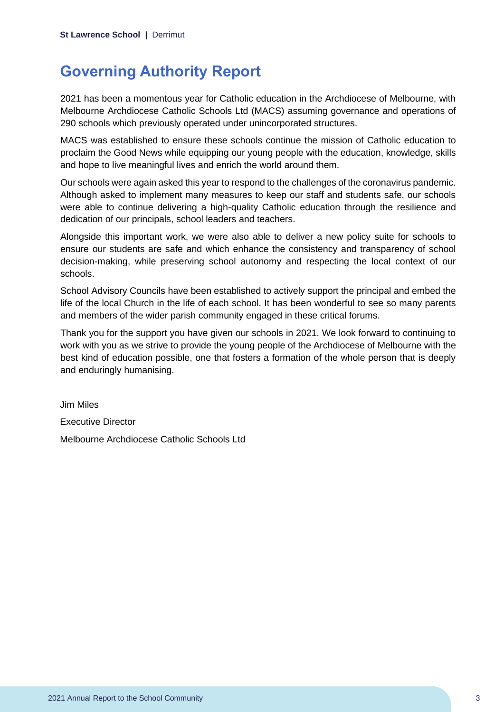### <span id="page-3-0"></span>**Governing Authority Report**

2021 has been a momentous year for Catholic education in the Archdiocese of Melbourne, with Melbourne Archdiocese Catholic Schools Ltd (MACS) assuming governance and operations of 290 schools which previously operated under unincorporated structures.

MACS was established to ensure these schools continue the mission of Catholic education to proclaim the Good News while equipping our young people with the education, knowledge, skills and hope to live meaningful lives and enrich the world around them.

Our schools were again asked this year to respond to the challenges of the coronavirus pandemic. Although asked to implement many measures to keep our staff and students safe, our schools were able to continue delivering a high-quality Catholic education through the resilience and dedication of our principals, school leaders and teachers.

Alongside this important work, we were also able to deliver a new policy suite for schools to ensure our students are safe and which enhance the consistency and transparency of school decision-making, while preserving school autonomy and respecting the local context of our schools.

School Advisory Councils have been established to actively support the principal and embed the life of the local Church in the life of each school. It has been wonderful to see so many parents and members of the wider parish community engaged in these critical forums.

Thank you for the support you have given our schools in 2021. We look forward to continuing to work with you as we strive to provide the young people of the Archdiocese of Melbourne with the best kind of education possible, one that fosters a formation of the whole person that is deeply and enduringly humanising.

Jim Miles Executive Director Melbourne Archdiocese Catholic Schools Ltd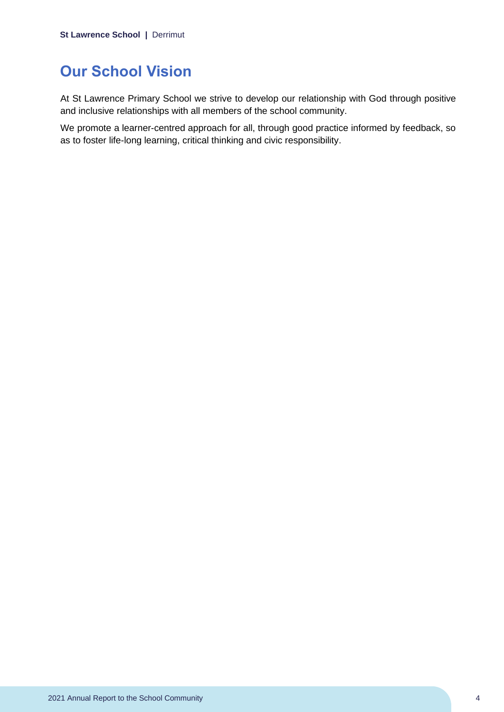## <span id="page-4-0"></span>**Our School Vision**

At St Lawrence Primary School we strive to develop our relationship with God through positive and inclusive relationships with all members of the school community.

We promote a learner-centred approach for all, through good practice informed by feedback, so as to foster life-long learning, critical thinking and civic responsibility.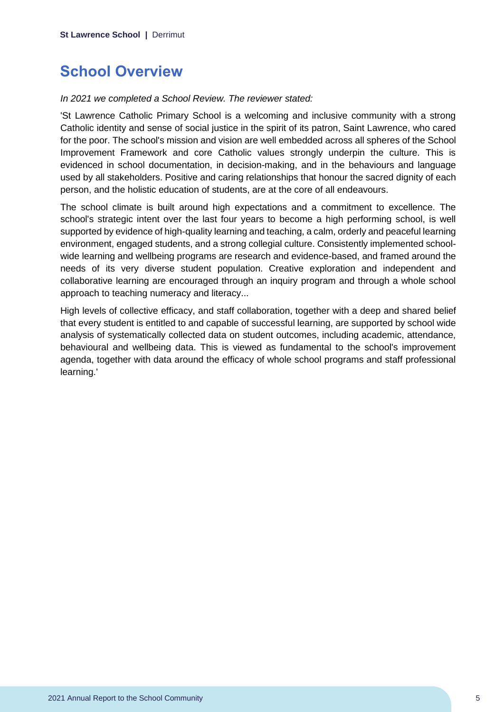### <span id="page-5-0"></span>**School Overview**

#### *In 2021 we completed a School Review. The reviewer stated:*

'St Lawrence Catholic Primary School is a welcoming and inclusive community with a strong Catholic identity and sense of social justice in the spirit of its patron, Saint Lawrence, who cared for the poor. The school's mission and vision are well embedded across all spheres of the School Improvement Framework and core Catholic values strongly underpin the culture. This is evidenced in school documentation, in decision-making, and in the behaviours and language used by all stakeholders. Positive and caring relationships that honour the sacred dignity of each person, and the holistic education of students, are at the core of all endeavours.

The school climate is built around high expectations and a commitment to excellence. The school's strategic intent over the last four years to become a high performing school, is well supported by evidence of high-quality learning and teaching, a calm, orderly and peaceful learning environment, engaged students, and a strong collegial culture. Consistently implemented schoolwide learning and wellbeing programs are research and evidence-based, and framed around the needs of its very diverse student population. Creative exploration and independent and collaborative learning are encouraged through an inquiry program and through a whole school approach to teaching numeracy and literacy...

High levels of collective efficacy, and staff collaboration, together with a deep and shared belief that every student is entitled to and capable of successful learning, are supported by school wide analysis of systematically collected data on student outcomes, including academic, attendance, behavioural and wellbeing data. This is viewed as fundamental to the school's improvement agenda, together with data around the efficacy of whole school programs and staff professional learning.'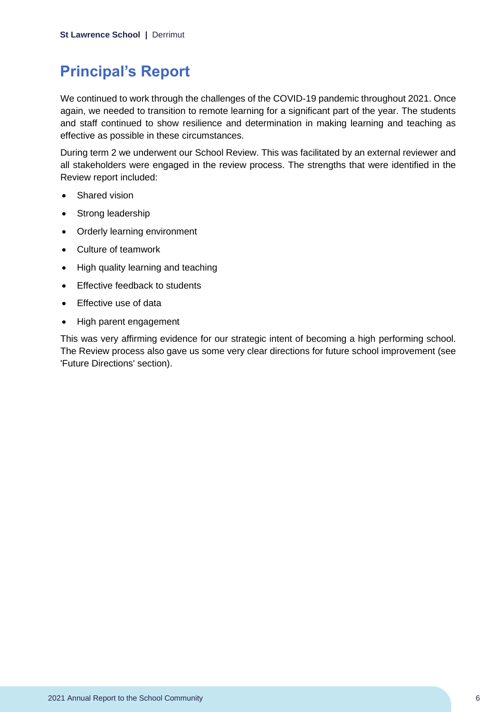# <span id="page-6-0"></span>**Principal's Report**

We continued to work through the challenges of the COVID-19 pandemic throughout 2021. Once again, we needed to transition to remote learning for a significant part of the year. The students and staff continued to show resilience and determination in making learning and teaching as effective as possible in these circumstances.

During term 2 we underwent our School Review. This was facilitated by an external reviewer and all stakeholders were engaged in the review process. The strengths that were identified in the Review report included:

- Shared vision
- Strong leadership
- Orderly learning environment
- Culture of teamwork
- High quality learning and teaching
- Fffective feedback to students
- Effective use of data
- High parent engagement

This was very affirming evidence for our strategic intent of becoming a high performing school. The Review process also gave us some very clear directions for future school improvement (see 'Future Directions' section).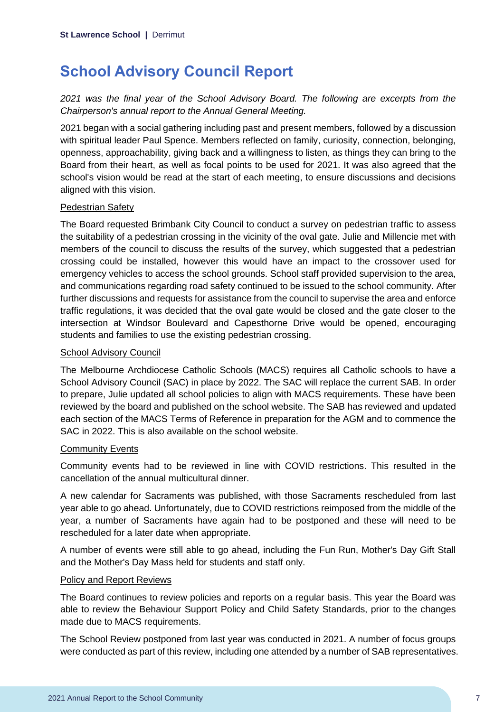# <span id="page-7-0"></span>**School Advisory Council Report**

*2021 was the final year of the School Advisory Board. The following are excerpts from the Chairperson's annual report to the Annual General Meeting.*

2021 began with a social gathering including past and present members, followed by a discussion with spiritual leader Paul Spence. Members reflected on family, curiosity, connection, belonging, openness, approachability, giving back and a willingness to listen, as things they can bring to the Board from their heart, as well as focal points to be used for 2021. It was also agreed that the school's vision would be read at the start of each meeting, to ensure discussions and decisions aligned with this vision.

#### **Pedestrian Safety**

The Board requested Brimbank City Council to conduct a survey on pedestrian traffic to assess the suitability of a pedestrian crossing in the vicinity of the oval gate. Julie and Millencie met with members of the council to discuss the results of the survey, which suggested that a pedestrian crossing could be installed, however this would have an impact to the crossover used for emergency vehicles to access the school grounds. School staff provided supervision to the area, and communications regarding road safety continued to be issued to the school community. After further discussions and requests for assistance from the council to supervise the area and enforce traffic regulations, it was decided that the oval gate would be closed and the gate closer to the intersection at Windsor Boulevard and Capesthorne Drive would be opened, encouraging students and families to use the existing pedestrian crossing.

#### School Advisory Council

The Melbourne Archdiocese Catholic Schools (MACS) requires all Catholic schools to have a School Advisory Council (SAC) in place by 2022. The SAC will replace the current SAB. In order to prepare, Julie updated all school policies to align with MACS requirements. These have been reviewed by the board and published on the school website. The SAB has reviewed and updated each section of the MACS Terms of Reference in preparation for the AGM and to commence the SAC in 2022. This is also available on the school website.

#### Community Events

Community events had to be reviewed in line with COVID restrictions. This resulted in the cancellation of the annual multicultural dinner.

A new calendar for Sacraments was published, with those Sacraments rescheduled from last year able to go ahead. Unfortunately, due to COVID restrictions reimposed from the middle of the year, a number of Sacraments have again had to be postponed and these will need to be rescheduled for a later date when appropriate.

A number of events were still able to go ahead, including the Fun Run, Mother's Day Gift Stall and the Mother's Day Mass held for students and staff only.

#### Policy and Report Reviews

The Board continues to review policies and reports on a regular basis. This year the Board was able to review the Behaviour Support Policy and Child Safety Standards, prior to the changes made due to MACS requirements.

The School Review postponed from last year was conducted in 2021. A number of focus groups were conducted as part of this review, including one attended by a number of SAB representatives.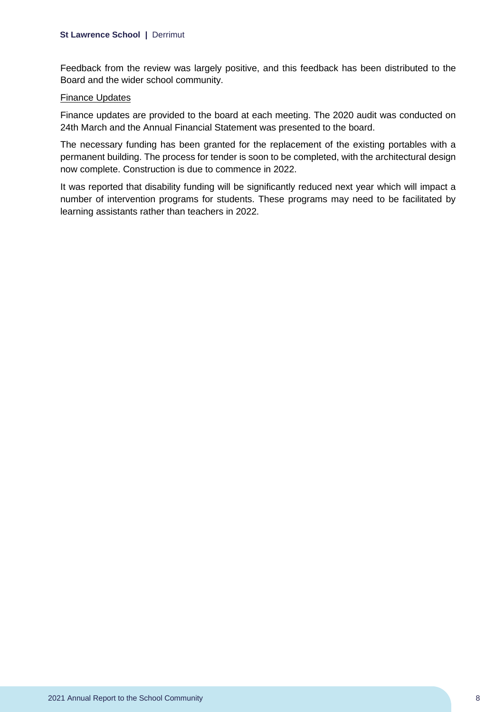Feedback from the review was largely positive, and this feedback has been distributed to the Board and the wider school community.

#### Finance Updates

Finance updates are provided to the board at each meeting. The 2020 audit was conducted on 24th March and the Annual Financial Statement was presented to the board.

The necessary funding has been granted for the replacement of the existing portables with a permanent building. The process for tender is soon to be completed, with the architectural design now complete. Construction is due to commence in 2022.

It was reported that disability funding will be significantly reduced next year which will impact a number of intervention programs for students. These programs may need to be facilitated by learning assistants rather than teachers in 2022.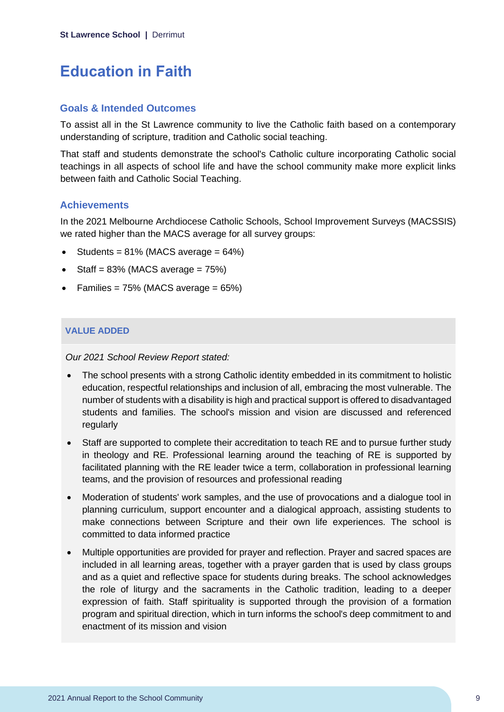# <span id="page-9-0"></span>**Education in Faith**

#### **Goals & Intended Outcomes**

To assist all in the St Lawrence community to live the Catholic faith based on a contemporary understanding of scripture, tradition and Catholic social teaching.

That staff and students demonstrate the school's Catholic culture incorporating Catholic social teachings in all aspects of school life and have the school community make more explicit links between faith and Catholic Social Teaching.

### **Achievements**

In the 2021 Melbourne Archdiocese Catholic Schools, School Improvement Surveys (MACSSIS) we rated higher than the MACS average for all survey groups:

- Students =  $81\%$  (MACS average =  $64\%$ )
- Staff =  $83\%$  (MACS average =  $75\%$ )
- Families =  $75\%$  (MACS average =  $65\%$ )

### **VALUE ADDED**

*Our 2021 School Review Report stated:*

- The school presents with a strong Catholic identity embedded in its commitment to holistic education, respectful relationships and inclusion of all, embracing the most vulnerable. The number of students with a disability is high and practical support is offered to disadvantaged students and families. The school's mission and vision are discussed and referenced regularly
- Staff are supported to complete their accreditation to teach RE and to pursue further study in theology and RE. Professional learning around the teaching of RE is supported by facilitated planning with the RE leader twice a term, collaboration in professional learning teams, and the provision of resources and professional reading
- Moderation of students' work samples, and the use of provocations and a dialogue tool in planning curriculum, support encounter and a dialogical approach, assisting students to make connections between Scripture and their own life experiences. The school is committed to data informed practice
- Multiple opportunities are provided for prayer and reflection. Prayer and sacred spaces are included in all learning areas, together with a prayer garden that is used by class groups and as a quiet and reflective space for students during breaks. The school acknowledges the role of liturgy and the sacraments in the Catholic tradition, leading to a deeper expression of faith. Staff spirituality is supported through the provision of a formation program and spiritual direction, which in turn informs the school's deep commitment to and enactment of its mission and vision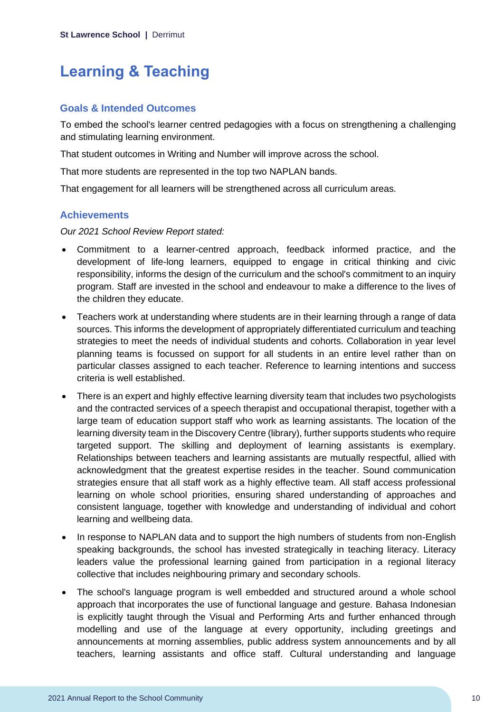# <span id="page-10-0"></span>**Learning & Teaching**

### **Goals & Intended Outcomes**

To embed the school's learner centred pedagogies with a focus on strengthening a challenging and stimulating learning environment.

That student outcomes in Writing and Number will improve across the school.

That more students are represented in the top two NAPLAN bands.

That engagement for all learners will be strengthened across all curriculum areas.

### **Achievements**

*Our 2021 School Review Report stated:*

- Commitment to a learner-centred approach, feedback informed practice, and the development of life-long learners, equipped to engage in critical thinking and civic responsibility, informs the design of the curriculum and the school's commitment to an inquiry program. Staff are invested in the school and endeavour to make a difference to the lives of the children they educate.
- Teachers work at understanding where students are in their learning through a range of data sources. This informs the development of appropriately differentiated curriculum and teaching strategies to meet the needs of individual students and cohorts. Collaboration in year level planning teams is focussed on support for all students in an entire level rather than on particular classes assigned to each teacher. Reference to learning intentions and success criteria is well established.
- There is an expert and highly effective learning diversity team that includes two psychologists and the contracted services of a speech therapist and occupational therapist, together with a large team of education support staff who work as learning assistants. The location of the learning diversity team in the Discovery Centre (library), further supports students who require targeted support. The skilling and deployment of learning assistants is exemplary. Relationships between teachers and learning assistants are mutually respectful, allied with acknowledgment that the greatest expertise resides in the teacher. Sound communication strategies ensure that all staff work as a highly effective team. All staff access professional learning on whole school priorities, ensuring shared understanding of approaches and consistent language, together with knowledge and understanding of individual and cohort learning and wellbeing data.
- In response to NAPLAN data and to support the high numbers of students from non-English speaking backgrounds, the school has invested strategically in teaching literacy. Literacy leaders value the professional learning gained from participation in a regional literacy collective that includes neighbouring primary and secondary schools.
- The school's language program is well embedded and structured around a whole school approach that incorporates the use of functional language and gesture. Bahasa Indonesian is explicitly taught through the Visual and Performing Arts and further enhanced through modelling and use of the language at every opportunity, including greetings and announcements at morning assemblies, public address system announcements and by all teachers, learning assistants and office staff. Cultural understanding and language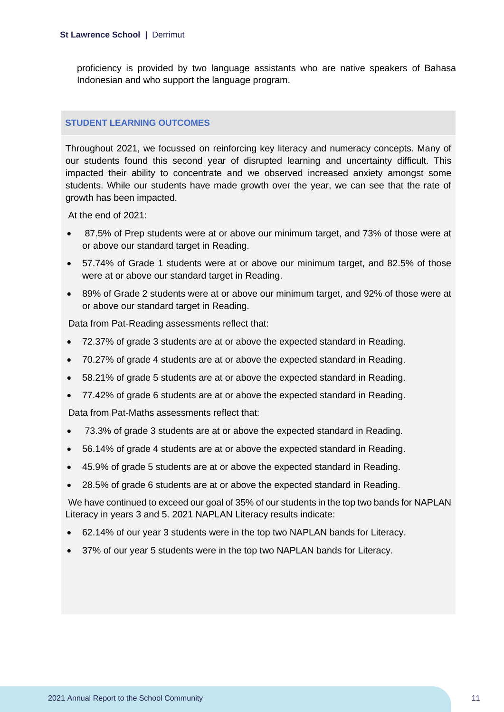proficiency is provided by two language assistants who are native speakers of Bahasa Indonesian and who support the language program.

#### **STUDENT LEARNING OUTCOMES**

Throughout 2021, we focussed on reinforcing key literacy and numeracy concepts. Many of our students found this second year of disrupted learning and uncertainty difficult. This impacted their ability to concentrate and we observed increased anxiety amongst some students. While our students have made growth over the year, we can see that the rate of growth has been impacted.

At the end of 2021:

- 87.5% of Prep students were at or above our minimum target, and 73% of those were at or above our standard target in Reading.
- 57.74% of Grade 1 students were at or above our minimum target, and 82.5% of those were at or above our standard target in Reading.
- 89% of Grade 2 students were at or above our minimum target, and 92% of those were at or above our standard target in Reading.

Data from Pat-Reading assessments reflect that:

- 72.37% of grade 3 students are at or above the expected standard in Reading.
- 70.27% of grade 4 students are at or above the expected standard in Reading.
- 58.21% of grade 5 students are at or above the expected standard in Reading.
- 77.42% of grade 6 students are at or above the expected standard in Reading.

Data from Pat-Maths assessments reflect that:

- 73.3% of grade 3 students are at or above the expected standard in Reading.
- 56.14% of grade 4 students are at or above the expected standard in Reading.
- 45.9% of grade 5 students are at or above the expected standard in Reading.
- 28.5% of grade 6 students are at or above the expected standard in Reading.

We have continued to exceed our goal of 35% of our students in the top two bands for NAPLAN Literacy in years 3 and 5. 2021 NAPLAN Literacy results indicate:

- 62.14% of our year 3 students were in the top two NAPLAN bands for Literacy.
- 37% of our year 5 students were in the top two NAPLAN bands for Literacy.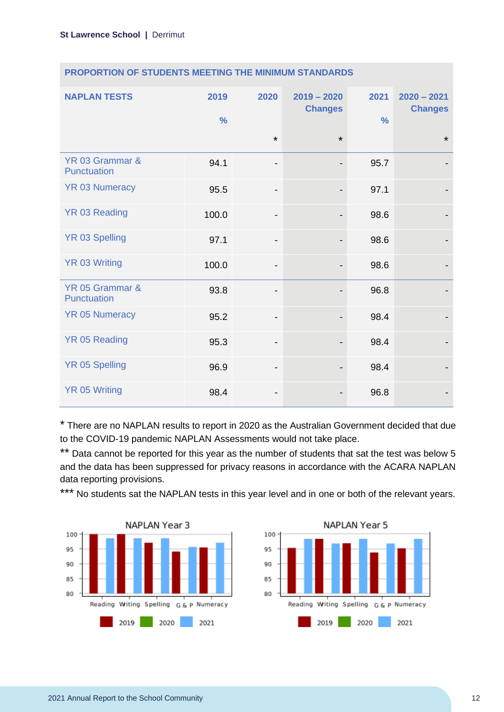| <b>NAPLAN TESTS</b>            | 2019<br>$\frac{0}{0}$ | 2020                         | $2019 - 2020$<br><b>Changes</b> | 2021<br>$\frac{0}{0}$ | $2020 - 2021$<br><b>Changes</b> |
|--------------------------------|-----------------------|------------------------------|---------------------------------|-----------------------|---------------------------------|
|                                |                       | $\star$                      | $\star$                         |                       | $\star$                         |
| YR 03 Grammar &<br>Punctuation | 94.1                  | -                            |                                 | 95.7                  |                                 |
| <b>YR 03 Numeracy</b>          | 95.5                  | $\qquad \qquad \blacksquare$ |                                 | 97.1                  |                                 |
| YR 03 Reading                  | 100.0                 | $\qquad \qquad \blacksquare$ |                                 | 98.6                  |                                 |
| <b>YR 03 Spelling</b>          | 97.1                  | $\qquad \qquad \blacksquare$ |                                 | 98.6                  |                                 |
| <b>YR 03 Writing</b>           | 100.0                 | -                            |                                 | 98.6                  |                                 |
| YR 05 Grammar &<br>Punctuation | 93.8                  | -                            |                                 | 96.8                  |                                 |
| <b>YR 05 Numeracy</b>          | 95.2                  | $\qquad \qquad \blacksquare$ |                                 | 98.4                  |                                 |
| <b>YR 05 Reading</b>           | 95.3                  | $\qquad \qquad \blacksquare$ |                                 | 98.4                  |                                 |
| <b>YR 05 Spelling</b>          | 96.9                  | -                            |                                 | 98.4                  |                                 |
| <b>YR 05 Writing</b>           | 98.4                  | -                            |                                 | 96.8                  |                                 |

#### **PROPORTION OF STUDENTS MEETING THE MINIMUM STANDARDS**

\* There are no NAPLAN results to report in 2020 as the Australian Government decided that due to the COVID-19 pandemic NAPLAN Assessments would not take place.

\*\* Data cannot be reported for this year as the number of students that sat the test was below 5 and the data has been suppressed for privacy reasons in accordance with the ACARA NAPLAN data reporting provisions.

\*\*\* No students sat the NAPLAN tests in this year level and in one or both of the relevant years.



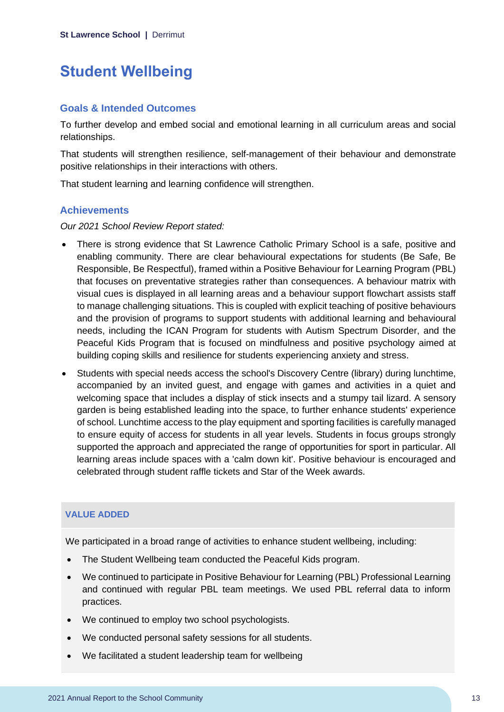# <span id="page-13-0"></span>**Student Wellbeing**

#### **Goals & Intended Outcomes**

To further develop and embed social and emotional learning in all curriculum areas and social relationships.

That students will strengthen resilience, self-management of their behaviour and demonstrate positive relationships in their interactions with others.

That student learning and learning confidence will strengthen.

### **Achievements**

*Our 2021 School Review Report stated:*

- There is strong evidence that St Lawrence Catholic Primary School is a safe, positive and enabling community. There are clear behavioural expectations for students (Be Safe, Be Responsible, Be Respectful), framed within a Positive Behaviour for Learning Program (PBL) that focuses on preventative strategies rather than consequences. A behaviour matrix with visual cues is displayed in all learning areas and a behaviour support flowchart assists staff to manage challenging situations. This is coupled with explicit teaching of positive behaviours and the provision of programs to support students with additional learning and behavioural needs, including the ICAN Program for students with Autism Spectrum Disorder, and the Peaceful Kids Program that is focused on mindfulness and positive psychology aimed at building coping skills and resilience for students experiencing anxiety and stress.
- Students with special needs access the school's Discovery Centre (library) during lunchtime, accompanied by an invited guest, and engage with games and activities in a quiet and welcoming space that includes a display of stick insects and a stumpy tail lizard. A sensory garden is being established leading into the space, to further enhance students' experience of school. Lunchtime access to the play equipment and sporting facilities is carefully managed to ensure equity of access for students in all year levels. Students in focus groups strongly supported the approach and appreciated the range of opportunities for sport in particular. All learning areas include spaces with a 'calm down kit'. Positive behaviour is encouraged and celebrated through student raffle tickets and Star of the Week awards.

### **VALUE ADDED**

We participated in a broad range of activities to enhance student wellbeing, including:

- The Student Wellbeing team conducted the Peaceful Kids program.
- We continued to participate in Positive Behaviour for Learning (PBL) Professional Learning and continued with regular PBL team meetings. We used PBL referral data to inform practices.
- We continued to employ two school psychologists.
- We conducted personal safety sessions for all students.
- We facilitated a student leadership team for wellbeing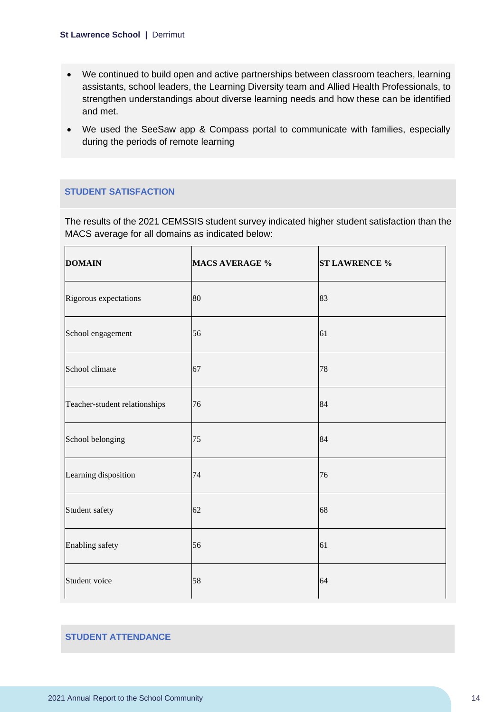- We continued to build open and active partnerships between classroom teachers, learning assistants, school leaders, the Learning Diversity team and Allied Health Professionals, to strengthen understandings about diverse learning needs and how these can be identified and met.
- We used the SeeSaw app & Compass portal to communicate with families, especially during the periods of remote learning

#### **STUDENT SATISFACTION**

The results of the 2021 CEMSSIS student survey indicated higher student satisfaction than the MACS average for all domains as indicated below:

| <b>DOMAIN</b>                 | <b>MACS AVERAGE %</b> | <b>ST LAWRENCE %</b> |
|-------------------------------|-----------------------|----------------------|
| Rigorous expectations         | 80                    | 83                   |
| School engagement             | 56                    | 61                   |
| School climate                | 67                    | 78                   |
| Teacher-student relationships | 76                    | 84                   |
| School belonging              | 75                    | 84                   |
| Learning disposition          | 74                    | 76                   |
| Student safety                | 62                    | 68                   |
| Enabling safety               | 56                    | 61                   |
| Student voice                 | 58                    | 64                   |

#### **STUDENT ATTENDANCE**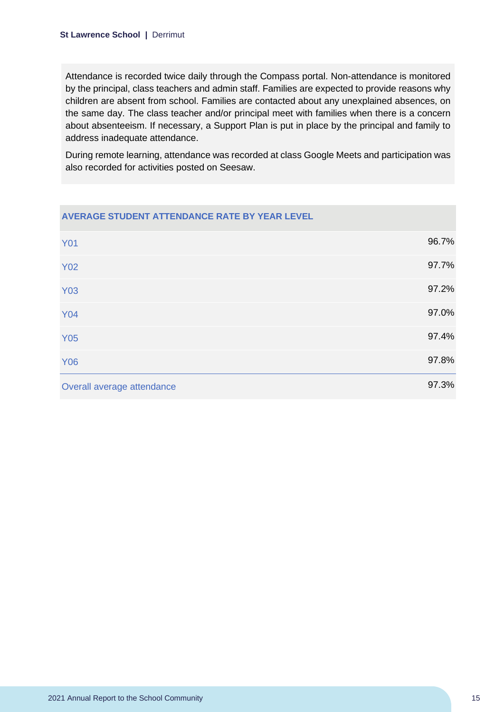Attendance is recorded twice daily through the Compass portal. Non-attendance is monitored by the principal, class teachers and admin staff. Families are expected to provide reasons why children are absent from school. Families are contacted about any unexplained absences, on the same day. The class teacher and/or principal meet with families when there is a concern about absenteeism. If necessary, a Support Plan is put in place by the principal and family to address inadequate attendance.

During remote learning, attendance was recorded at class Google Meets and participation was also recorded for activities posted on Seesaw.

| AVERAGE STUDENT ATTENDANCE RATE BY YEAR LEVEL |       |
|-----------------------------------------------|-------|
| <b>Y01</b>                                    | 96.7% |
| <b>Y02</b>                                    | 97.7% |
| <b>Y03</b>                                    | 97.2% |
| <b>Y04</b>                                    | 97.0% |
| <b>Y05</b>                                    | 97.4% |
| <b>Y06</b>                                    | 97.8% |
| Overall average attendance                    | 97.3% |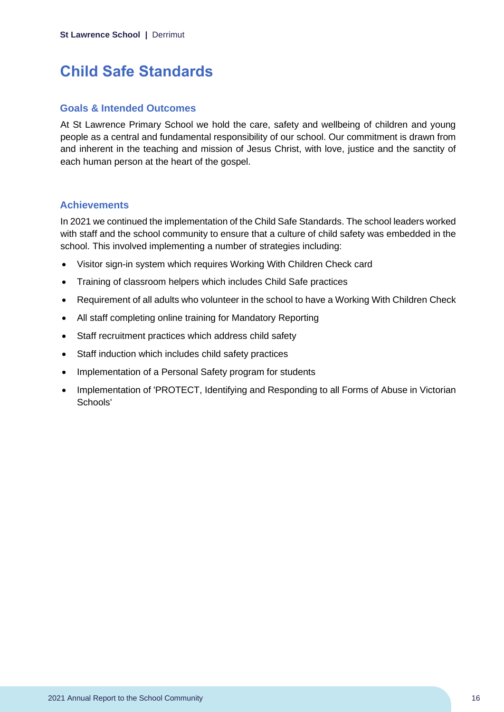# <span id="page-16-0"></span>**Child Safe Standards**

#### **Goals & Intended Outcomes**

At St Lawrence Primary School we hold the care, safety and wellbeing of children and young people as a central and fundamental responsibility of our school. Our commitment is drawn from and inherent in the teaching and mission of Jesus Christ, with love, justice and the sanctity of each human person at the heart of the gospel.

### **Achievements**

In 2021 we continued the implementation of the Child Safe Standards. The school leaders worked with staff and the school community to ensure that a culture of child safety was embedded in the school. This involved implementing a number of strategies including:

- Visitor sign-in system which requires Working With Children Check card
- Training of classroom helpers which includes Child Safe practices
- Requirement of all adults who volunteer in the school to have a Working With Children Check
- All staff completing online training for Mandatory Reporting
- Staff recruitment practices which address child safety
- Staff induction which includes child safety practices
- Implementation of a Personal Safety program for students
- Implementation of 'PROTECT, Identifying and Responding to all Forms of Abuse in Victorian Schools'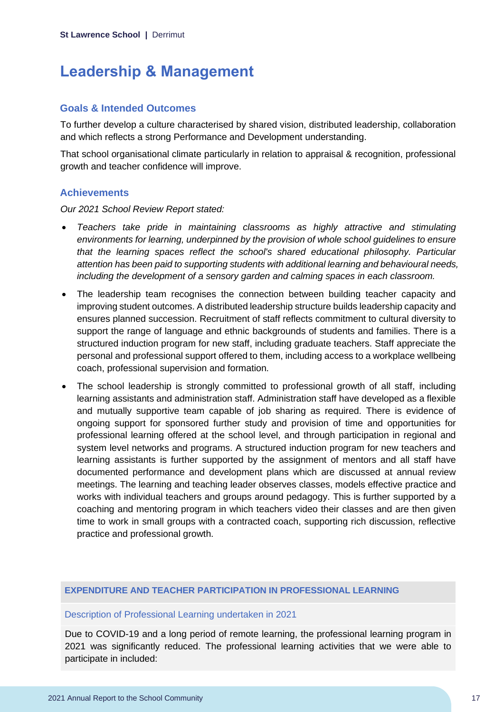# <span id="page-17-0"></span>**Leadership & Management**

### **Goals & Intended Outcomes**

To further develop a culture characterised by shared vision, distributed leadership, collaboration and which reflects a strong Performance and Development understanding.

That school organisational climate particularly in relation to appraisal & recognition, professional growth and teacher confidence will improve.

### **Achievements**

*Our 2021 School Review Report stated:*

- *Teachers take pride in maintaining classrooms as highly attractive and stimulating environments for learning, underpinned by the provision of whole school guidelines to ensure that the learning spaces reflect the school's shared educational philosophy. Particular attention has been paid to supporting students with additional learning and behavioural needs, including the development of a sensory garden and calming spaces in each classroom.*
- The leadership team recognises the connection between building teacher capacity and improving student outcomes. A distributed leadership structure builds leadership capacity and ensures planned succession. Recruitment of staff reflects commitment to cultural diversity to support the range of language and ethnic backgrounds of students and families. There is a structured induction program for new staff, including graduate teachers. Staff appreciate the personal and professional support offered to them, including access to a workplace wellbeing coach, professional supervision and formation.
- The school leadership is strongly committed to professional growth of all staff, including learning assistants and administration staff. Administration staff have developed as a flexible and mutually supportive team capable of job sharing as required. There is evidence of ongoing support for sponsored further study and provision of time and opportunities for professional learning offered at the school level, and through participation in regional and system level networks and programs. A structured induction program for new teachers and learning assistants is further supported by the assignment of mentors and all staff have documented performance and development plans which are discussed at annual review meetings. The learning and teaching leader observes classes, models effective practice and works with individual teachers and groups around pedagogy. This is further supported by a coaching and mentoring program in which teachers video their classes and are then given time to work in small groups with a contracted coach, supporting rich discussion, reflective practice and professional growth.

#### **EXPENDITURE AND TEACHER PARTICIPATION IN PROFESSIONAL LEARNING**

#### Description of Professional Learning undertaken in 2021

Due to COVID-19 and a long period of remote learning, the professional learning program in 2021 was significantly reduced. The professional learning activities that we were able to participate in included: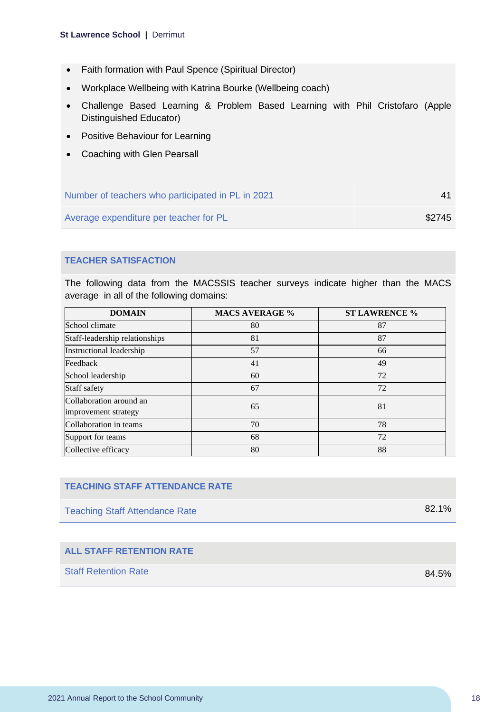#### **St Lawrence School |** Derrimut

- Faith formation with Paul Spence (Spiritual Director)
- Workplace Wellbeing with Katrina Bourke (Wellbeing coach)
- Challenge Based Learning & Problem Based Learning with Phil Cristofaro (Apple Distinguished Educator)
- Positive Behaviour for Learning
- Coaching with Glen Pearsall

| Number of teachers who participated in PL in 2021 |        |
|---------------------------------------------------|--------|
| Average expenditure per teacher for PL            | \$2745 |

### **TEACHER SATISFACTION**

The following data from the MACSSIS teacher surveys indicate higher than the MACS average in all of the following domains:

| <b>DOMAIN</b>                                   | <b>MACS AVERAGE %</b> | <b>ST LAWRENCE %</b> |
|-------------------------------------------------|-----------------------|----------------------|
| School climate                                  | 80                    | 87                   |
| Staff-leadership relationships                  | 81                    | 87                   |
| Instructional leadership                        | 57                    | 66                   |
| Feedback                                        | 41                    | 49                   |
| School leadership                               | 60                    | 72                   |
| Staff safety                                    | 67                    | 72                   |
| Collaboration around an<br>improvement strategy | 65                    | 81                   |
| Collaboration in teams                          | 70                    | 78                   |
| Support for teams                               | 68                    | 72                   |
| Collective efficacy                             | 80                    | 88                   |

### **TEACHING STAFF ATTENDANCE RATE**

Teaching Staff Attendance Rate 82.1%

### **ALL STAFF RETENTION RATE**

Staff Retention Rate 84.5%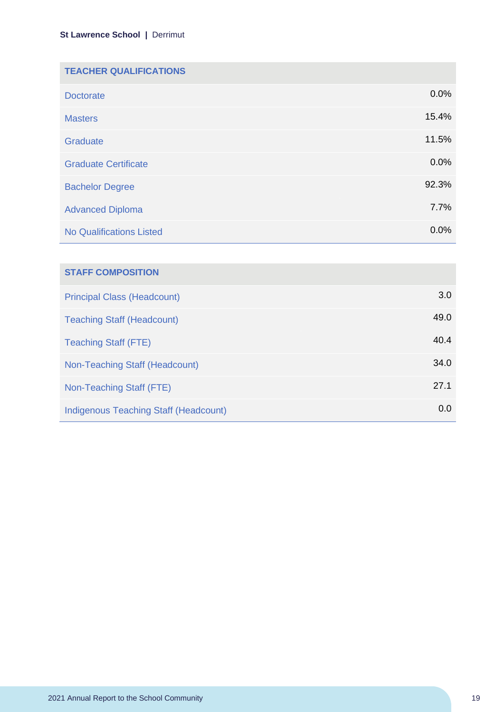| <b>TEACHER QUALIFICATIONS</b>   |       |
|---------------------------------|-------|
| <b>Doctorate</b>                | 0.0%  |
| <b>Masters</b>                  | 15.4% |
| Graduate                        | 11.5% |
| <b>Graduate Certificate</b>     | 0.0%  |
| <b>Bachelor Degree</b>          | 92.3% |
| <b>Advanced Diploma</b>         | 7.7%  |
| <b>No Qualifications Listed</b> | 0.0%  |

| <b>STAFF COMPOSITION</b>              |      |
|---------------------------------------|------|
| <b>Principal Class (Headcount)</b>    | 3.0  |
| <b>Teaching Staff (Headcount)</b>     | 49.0 |
| <b>Teaching Staff (FTE)</b>           | 40.4 |
| Non-Teaching Staff (Headcount)        | 34.0 |
| Non-Teaching Staff (FTE)              | 27.1 |
| Indigenous Teaching Staff (Headcount) | 0.0  |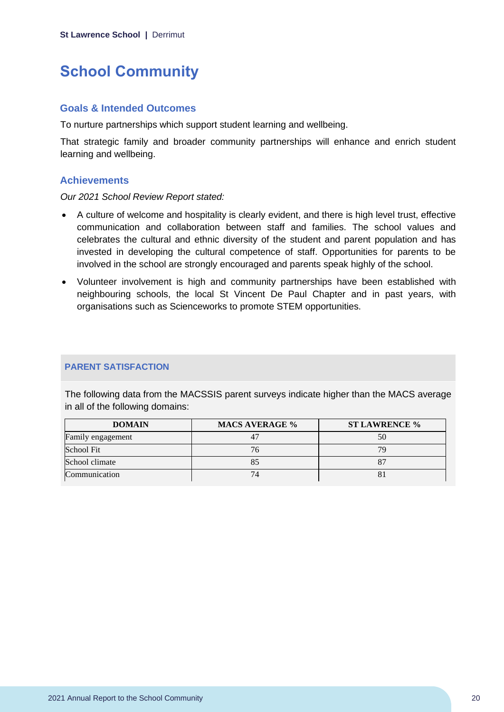# <span id="page-20-0"></span>**School Community**

#### **Goals & Intended Outcomes**

To nurture partnerships which support student learning and wellbeing.

That strategic family and broader community partnerships will enhance and enrich student learning and wellbeing.

#### **Achievements**

*Our 2021 School Review Report stated:*

- A culture of welcome and hospitality is clearly evident, and there is high level trust, effective communication and collaboration between staff and families. The school values and celebrates the cultural and ethnic diversity of the student and parent population and has invested in developing the cultural competence of staff. Opportunities for parents to be involved in the school are strongly encouraged and parents speak highly of the school.
- Volunteer involvement is high and community partnerships have been established with neighbouring schools, the local St Vincent De Paul Chapter and in past years, with organisations such as Scienceworks to promote STEM opportunities.

#### **PARENT SATISFACTION**

The following data from the MACSSIS parent surveys indicate higher than the MACS average in all of the following domains:

| <b>DOMAIN</b>     | <b>MACS AVERAGE %</b> | <b>ST LAWRENCE %</b> |
|-------------------|-----------------------|----------------------|
| Family engagement |                       | 50                   |
| School Fit        | 76                    | 70                   |
| School climate    |                       |                      |
| Communication     |                       |                      |